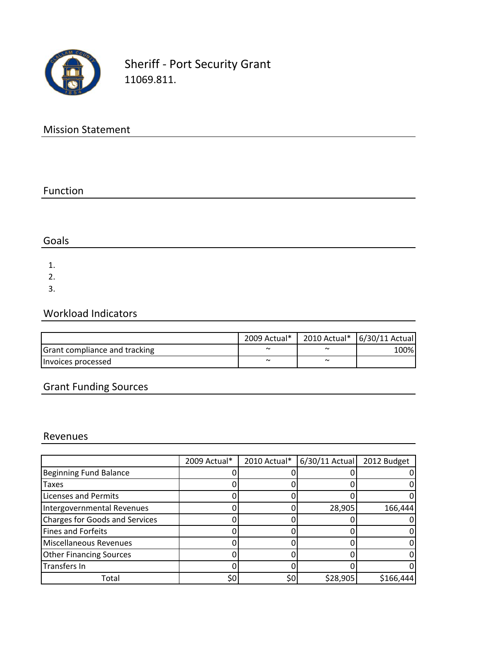

Sheriff ‐ Port Security Grant 11069.811.

# Mission Statement

#### Function

## Goals

1.

2.

3.

## Workload Indicators

|                                      | 2009 Actual* |                       | 2010 Actual*   6/30/11 Actual |
|--------------------------------------|--------------|-----------------------|-------------------------------|
| <b>Grant compliance and tracking</b> | $\sim$       | $\tilde{\phantom{a}}$ | 100%I                         |
| Invoices processed                   | $\tilde{}$   | $\sim$                |                               |

# Grant Funding Sources

#### Revenues

|                                       | 2009 Actual* | 2010 Actual* | $6/30/11$ Actual | 2012 Budget |
|---------------------------------------|--------------|--------------|------------------|-------------|
| <b>Beginning Fund Balance</b>         |              |              |                  |             |
| <b>Taxes</b>                          |              |              |                  |             |
| <b>Licenses and Permits</b>           |              |              |                  |             |
| Intergovernmental Revenues            |              |              | 28,905           | 166,444     |
| <b>Charges for Goods and Services</b> |              |              |                  |             |
| <b>Fines and Forfeits</b>             |              |              |                  |             |
| <b>Miscellaneous Revenues</b>         |              |              |                  |             |
| <b>Other Financing Sources</b>        |              |              |                  |             |
| Transfers In                          |              |              |                  |             |
| Total                                 | \$0          | \$0          | \$28,905         | \$166,444   |